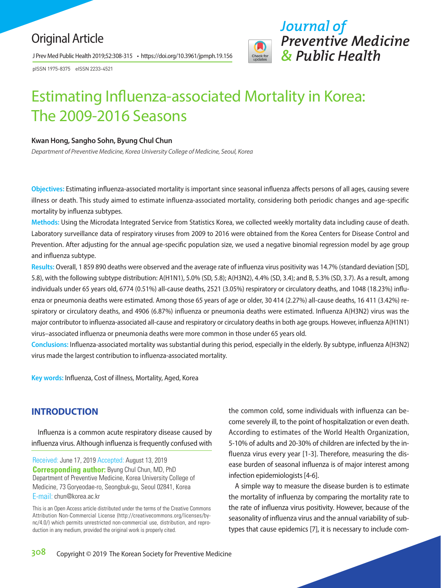## Original Article

J Prev Med Public Health 2019;52:308-315 • https://doi.org/10.3961/jpmph.19.156

pISSN 1975-8375 eISSN 2233-4521

# *Journal of Preventive Medicine & Public Health*

# Estimating Influenza-associated Mortality in Korea: The 2009-2016 Seasons

#### **Kwan Hong, Sangho Sohn, Byung Chul Chun**

*Department of Preventive Medicine, Korea University College of Medicine, Seoul, Korea*

**Objectives:** Estimating influenza-associated mortality is important since seasonal influenza affects persons of all ages, causing severe illness or death. This study aimed to estimate influenza-associated mortality, considering both periodic changes and age-specific mortality by influenza subtypes.

**Methods:** Using the Microdata Integrated Service from Statistics Korea, we collected weekly mortality data including cause of death. Laboratory surveillance data of respiratory viruses from 2009 to 2016 were obtained from the Korea Centers for Disease Control and Prevention. After adjusting for the annual age-specific population size, we used a negative binomial regression model by age group and influenza subtype.

**Results:** Overall, 1 859 890 deaths were observed and the average rate of influenza virus positivity was 14.7% (standard deviation [SD], 5.8), with the following subtype distribution: A(H1N1), 5.0% (SD, 5.8); A(H3N2), 4.4% (SD, 3.4); and B, 5.3% (SD, 3.7). As a result, among individuals under 65 years old, 6774 (0.51%) all-cause deaths, 2521 (3.05%) respiratory or circulatory deaths, and 1048 (18.23%) influenza or pneumonia deaths were estimated. Among those 65 years of age or older, 30 414 (2.27%) all-cause deaths, 16 411 (3.42%) respiratory or circulatory deaths, and 4906 (6.87%) influenza or pneumonia deaths were estimated. Influenza A(H3N2) virus was the major contributor to influenza-associated all-cause and respiratory or circulatory deaths in both age groups. However, influenza A(H1N1) virus–associated influenza or pneumonia deaths were more common in those under 65 years old.

**Conclusions:** Influenza-associated mortality was substantial during this period, especially in the elderly. By subtype, influenza A(H3N2) virus made the largest contribution to influenza-associated mortality.

**Key words:** Influenza, Cost of illness, Mortality, Aged, Korea

## **INTRODUCTION**

Influenza is a common acute respiratory disease caused by influenza virus. Although influenza is frequently confused with

Received: June 17, 2019 Accepted: August 13, 2019 **Corresponding author:** Byung Chul Chun, MD, PhD Department of Preventive Medicine, Korea University College of Medicine, 73 Goryeodae-ro, Seongbuk-gu, Seoul 02841, Korea E-mail: chun@korea.ac.kr

the common cold, some individuals with influenza can become severely ill, to the point of hospitalization or even death. According to estimates of the World Health Organization, 5-10% of adults and 20-30% of children are infected by the influenza virus every year [1-3]. Therefore, measuring the disease burden of seasonal influenza is of major interest among infection epidemiologists [4-6].

A simple way to measure the disease burden is to estimate the mortality of influenza by comparing the mortality rate to the rate of influenza virus positivity. However, because of the seasonality of influenza virus and the annual variability of subtypes that cause epidemics [7], it is necessary to include com-

This is an Open Access article distributed under the terms of the Creative Commons Attribution Non-Commercial License (http://creativecommons.org/licenses/bync/4.0/) which permits unrestricted non-commercial use, distribution, and reproduction in any medium, provided the original work is properly cited.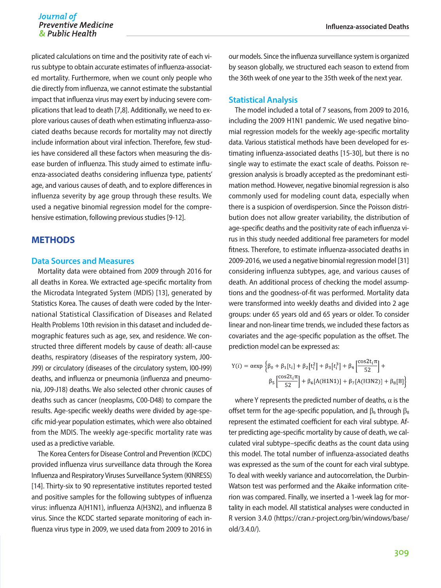plicated calculations on time and the positivity rate of each virus subtype to obtain accurate estimates of influenza-associated mortality. Furthermore, when we count only people who die directly from influenza, we cannot estimate the substantial impact that influenza virus may exert by inducing severe complications that lead to death [7,8]. Additionally, we need to explore various causes of death when estimating influenza-associated deaths because records for mortality may not directly include information about viral infection. Therefore, few studies have considered all these factors when measuring the disease burden of influenza. This study aimed to estimate influenza-associated deaths considering influenza type, patients' age, and various causes of death, and to explore differences in influenza severity by age group through these results. We used a negative binomial regression model for the comprehensive estimation, following previous studies [9-12].

## **METHODS**

#### **Data Sources and Measures**

Mortality data were obtained from 2009 through 2016 for all deaths in Korea. We extracted age-specific mortality from the Microdata Integrated System (MDIS) [13], generated by Statistics Korea. The causes of death were coded by the International Statistical Classification of Diseases and Related Health Problems 10th revision in this dataset and included demographic features such as age, sex, and residence. We constructed three different models by cause of death: all-cause deaths, respiratory (diseases of the respiratory system, J00- J99) or circulatory (diseases of the circulatory system, I00-I99) deaths, and influenza or pneumonia (influenza and pneumonia, J09-J18) deaths. We also selected other chronic causes of deaths such as cancer (neoplasms, C00-D48) to compare the results. Age-specific weekly deaths were divided by age-specific mid-year population estimates, which were also obtained from the MDIS. The weekly age-specific mortality rate was used as a predictive variable.

The Korea Centers for Disease Control and Prevention (KCDC) provided influenza virus surveillance data through the Korea Influenza and Respiratory Viruses Surveillance System (KINRESS) [14]. Thirty-six to 90 representative institutes reported tested and positive samples for the following subtypes of influenza virus: influenza A(H1N1), influenza A(H3N2), and influenza B virus. Since the KCDC started separate monitoring of each influenza virus type in 2009, we used data from 2009 to 2016 in

our models. Since the influenza surveillance system is organized by season globally, we structured each season to extend from the 36th week of one year to the 35th week of the next year.

#### **Statistical Analysis**

The model included a total of 7 seasons, from 2009 to 2016, including the 2009 H1N1 pandemic. We used negative binomial regression models for the weekly age-specific mortality data. Various statistical methods have been developed for estimating influenza-associated deaths [15-30], but there is no single way to estimate the exact scale of deaths. Poisson regression analysis is broadly accepted as the predominant estimation method. However, negative binomial regression is also commonly used for modeling count data, especially when there is a suspicion of overdispersion. Since the Poisson distribution does not allow greater variability, the distribution of age-specific deaths and the positivity rate of each influenza virus in this study needed additional free parameters for model fitness. Therefore, to estimate influenza-associated deaths in 2009-2016, we used a negative binomial regression model [31] considering influenza subtypes, age, and various causes of death. An additional process of checking the model assumptions and the goodness-of-fit was performed. Mortality data were transformed into weekly deaths and divided into 2 age groups: under 65 years old and 65 years or older. To consider linear and non-linear time trends, we included these factors as covariates and the age-specific population as the offset. The prediction model can be expressed as:

$$
Y(i) = \alpha \exp \left\{ \beta_0 + \beta_1[t_i] + \beta_2[t_i^2] + \beta_3[t_i^3] + \beta_4 \left[ \frac{\cos 2t_i \pi}{52} \right] + \beta_5 \left[ \frac{\cos 2t_i \pi}{52} \right] + \beta_6 [A(H1N1)] + \beta_7 [A(H3N2)] + \beta_8 [B] \right\}
$$

where Y represents the predicted number of deaths,  $\alpha$  is the offset term for the age-specific population, and  $\beta_6$  through  $\beta_8$ represent the estimated coefficient for each viral subtype. After predicting age-specific mortality by cause of death, we calculated viral subtype–specific deaths as the count data using this model. The total number of influenza-associated deaths was expressed as the sum of the count for each viral subtype. To deal with weekly variance and autocorrelation, the Durbin-Watson test was performed and the Akaike information criterion was compared. Finally, we inserted a 1-week lag for mortality in each model. All statistical analyses were conducted in R version 3.4.0 (https://cran.r-project.org/bin/windows/base/ old/3.4.0/).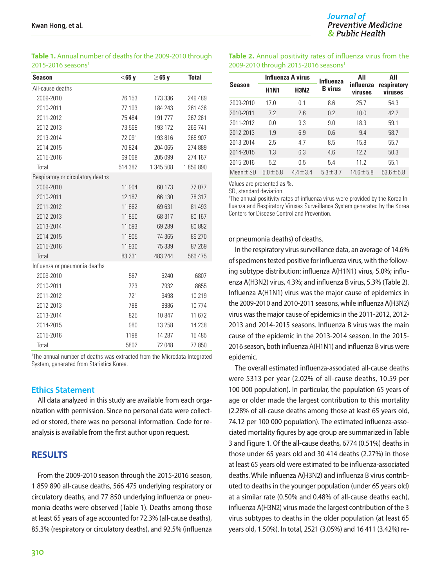| <b>Season</b>                     | $<$ 65 y | $\geq$ 65 y | <b>Total</b> |
|-----------------------------------|----------|-------------|--------------|
| All-cause deaths                  |          |             |              |
| 2009-2010                         | 76 153   | 173 336     | 249 489      |
| 2010-2011                         | 77 193   | 184 243     | 261 436      |
| 2011-2012                         | 75 484   | 191 777     | 267 261      |
| 2012-2013                         | 73 569   | 193 172     | 266 741      |
| 2013-2014                         | 72 091   | 193 816     | 265 907      |
| 2014-2015                         | 70824    | 204 065     | 274 889      |
| 2015-2016                         | 69 068   | 205 099     | 274 167      |
| Total                             | 514 382  | 1 345 508   | 1859890      |
| Respiratory or circulatory deaths |          |             |              |
| 2009-2010                         | 11 904   | 60 173      | 72 077       |
| 2010-2011                         | 12 187   | 66 130      | 78 317       |
| 2011-2012                         | 11 862   | 69 631      | 81 493       |
| 2012-2013                         | 11 850   | 68 317      | 80 167       |
| 2013-2014                         | 11 593   | 69 289      | 80 882       |
| 2014-2015                         | 11 905   | 74 365      | 86 270       |
| 2015-2016                         | 11 930   | 75 339      | 87 269       |
| Total                             | 83 231   | 483 244     | 566 475      |
| Influenza or pneumonia deaths     |          |             |              |
| 2009-2010                         | 567      | 6240        | 6807         |
| 2010-2011                         | 723      | 7932        | 8655         |
| 2011-2012                         | 721      | 9498        | 10 219       |
| 2012-2013                         | 788      | 9986        | 10774        |
| 2013-2014                         | 825      | 10 847      | 11 672       |
| 2014-2015                         | 980      | 13 2 58     | 14 238       |
| 2015-2016                         | 1198     | 14 287      | 15 4 85      |
| Total                             | 5802     | 72 048      | 77850        |

**Table 1.** Annual number of deaths for the 2009-2010 through  $2015-2016$  seasons<sup>1</sup>

al number of deaths was extracted from the Microdata Integrated System, generated from Statistics Korea.

#### **Ethics Statement**

All data analyzed in this study are available from each organization with permission. Since no personal data were collected or stored, there was no personal information. Code for reanalysis is available from the first author upon request.

### **RESULTS**

From the 2009-2010 season through the 2015-2016 season, 1 859 890 all-cause deaths, 566 475 underlying respiratory or circulatory deaths, and 77 850 underlying influenza or pneumonia deaths were observed (Table 1). Deaths among those at least 65 years of age accounted for 72.3% (all-cause deaths), 85.3% (respiratory or circulatory deaths), and 92.5% (influenza

#### **Table 2.** Annual positivity rates of influenza virus from the 2009-2010 through 2015-2016 seasons<sup>1</sup>

| Season        | Influenza A virus |               | <b>Influenza</b> | All                  | All<br>respiratory<br>viruses |  |
|---------------|-------------------|---------------|------------------|----------------------|-------------------------------|--|
|               | <b>H1N1</b>       | <b>H3N2</b>   | <b>B</b> virus   | influenza<br>viruses |                               |  |
| 2009-2010     | 17.0              | 0.1           | 8.6              | 25.7                 | 54.3                          |  |
| 2010-2011     | 7.2               | 2.6           | 0.2              | 10.0                 | 42.2                          |  |
| 2011-2012     | 0.0               | 9.3           | 9.0              | 18.3                 | 59.1                          |  |
| 2012-2013     | 1.9               | 6.9           | 0.6              | 9.4                  | 58.7                          |  |
| 2013-2014     | 2.5               | 4.7           | 8.5              | 15.8                 | 55.7                          |  |
| 2014-2015     | 1.3               | 6.3           | 4.6              | 122                  | 50.3                          |  |
| 2015-2016     | 5.2               | 05            | 5.4              | 112                  | 55.1                          |  |
| Mean $\pm$ SD | $5.0 \pm 5.8$     | $4.4 \pm 3.4$ | $5.3 \pm 3.7$    | $14.6 \pm 5.8$       | $53.6 \pm 5.8$                |  |

Values are presented as %.

SD, standard deviation.

1 The annual positivity rates of influenza virus were provided by the Korea Influenza and Respiratory Viruses Surveillance System generated by the Korea Centers for Disease Control and Prevention.

#### or pneumonia deaths) of deaths.

In the respiratory virus surveillance data, an average of 14.6% of specimens tested positive for influenza virus, with the following subtype distribution: influenza A(H1N1) virus, 5.0%; influenza A(H3N2) virus, 4.3%; and influenza B virus, 5.3% (Table 2). Influenza A(H1N1) virus was the major cause of epidemics in the 2009-2010 and 2010-2011 seasons, while influenza A(H3N2) virus was the major cause of epidemics in the 2011-2012, 2012- 2013 and 2014-2015 seasons. Influenza B virus was the main cause of the epidemic in the 2013-2014 season. In the 2015- 2016 season, both influenza A(H1N1) and influenza B virus were epidemic.

The overall estimated influenza-associated all-cause deaths were 5313 per year (2.02% of all-cause deaths, 10.59 per 100 000 population). In particular, the population 65 years of age or older made the largest contribution to this mortality (2.28% of all-cause deaths among those at least 65 years old, 74.12 per 100 000 population). The estimated influenza-associated mortality figures by age group are summarized in Table 3 and Figure 1. Of the all-cause deaths, 6774 (0.51%) deaths in those under 65 years old and 30 414 deaths (2.27%) in those at least 65 years old were estimated to be influenza-associated deaths. While influenza A(H3N2) and influenza B virus contributed to deaths in the younger population (under 65 years old) at a similar rate (0.50% and 0.48% of all-cause deaths each), influenza A(H3N2) virus made the largest contribution of the 3 virus subtypes to deaths in the older population (at least 65 years old, 1.50%). In total, 2521 (3.05%) and 16 411 (3.42%) re-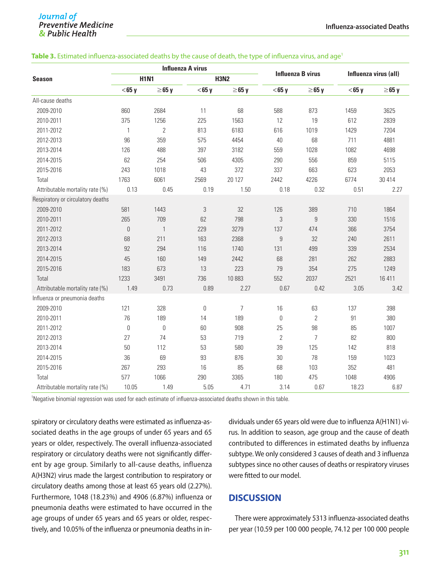#### Journal of **Preventive Medicine** & Public Health

#### Table 3. Estimated influenza-associated deaths by the cause of death, the type of influenza virus, and age<sup>1</sup>

| <b>Season</b>                     | <b>Influenza A virus</b> |                |                  |                |                  |                          |          |                       |  |
|-----------------------------------|--------------------------|----------------|------------------|----------------|------------------|--------------------------|----------|-----------------------|--|
|                                   | <b>H1N1</b>              |                |                  | <b>H3N2</b>    |                  | <b>Influenza B virus</b> |          | Influenza virus (all) |  |
|                                   | $<$ 65 y                 | $\geq$ 65 y    | $<$ 65 y         | $\geq$ 65 y    | $<$ 65 y         | $\geq$ 65 y              | $<$ 65 y | $\geq$ 65 y           |  |
| All-cause deaths                  |                          |                |                  |                |                  |                          |          |                       |  |
| 2009-2010                         | 860                      | 2684           | 11               | 68             | 588              | 873                      | 1459     | 3625                  |  |
| 2010-2011                         | 375                      | 1256           | 225              | 1563           | 12               | 19                       | 612      | 2839                  |  |
| 2011-2012                         | 1                        | $\overline{2}$ | 813              | 6183           | 616              | 1019                     | 1429     | 7204                  |  |
| 2012-2013                         | 96                       | 359            | 575              | 4454           | 40               | 68                       | 711      | 4881                  |  |
| 2013-2014                         | 126                      | 488            | 397              | 3182           | 559              | 1028                     | 1082     | 4698                  |  |
| 2014-2015                         | 62                       | 254            | 506              | 4305           | 290              | 556                      | 859      | 5115                  |  |
| 2015-2016                         | 243                      | 1018           | 43               | 372            | 337              | 663                      | 623      | 2053                  |  |
| Total                             | 1763                     | 6061           | 2569             | 20 127         | 2442             | 4226                     | 6774     | 30 414                |  |
| Attributable mortality rate (%)   | 0.13                     | 0.45           | 0.19             | 1.50           | 0.18             | 0.32                     | 0.51     | 2.27                  |  |
| Respiratory or circulatory deaths |                          |                |                  |                |                  |                          |          |                       |  |
| 2009-2010                         | 581                      | 1443           | 3                | 32             | 126              | 389                      | 710      | 1864                  |  |
| 2010-2011                         | 265                      | 709            | 62               | 798            | 3                | $\overline{9}$           | 330      | 1516                  |  |
| 2011-2012                         | 0                        | $\mathbf{1}$   | 229              | 3279           | 137              | 474                      | 366      | 3754                  |  |
| 2012-2013                         | 68                       | 211            | 163              | 2368           | $\boldsymbol{9}$ | 32                       | 240      | 2611                  |  |
| 2013-2014                         | 92                       | 294            | 116              | 1740           | 131              | 499                      | 339      | 2534                  |  |
| 2014-2015                         | 45                       | 160            | 149              | 2442           | 68               | 281                      | 262      | 2883                  |  |
| 2015-2016                         | 183                      | 673            | 13               | 223            | 79               | 354                      | 275      | 1249                  |  |
| Total                             | 1233                     | 3491           | 736              | 10883          | 552              | 2037                     | 2521     | 16 411                |  |
| Attributable mortality rate (%)   | 1.49                     | 0.73           | 0.89             | 2.27           | 0.67             | 0.42                     | 3.05     | 3.42                  |  |
| Influenza or pneumonia deaths     |                          |                |                  |                |                  |                          |          |                       |  |
| 2009-2010                         | 121                      | 328            | $\boldsymbol{0}$ | $\overline{7}$ | 16               | 63                       | 137      | 398                   |  |
| 2010-2011                         | 76                       | 189            | 14               | 189            | $\boldsymbol{0}$ | $\overline{2}$           | 91       | 380                   |  |
| 2011-2012                         | 0                        | $\mathbf{0}$   | 60               | 908            | 25               | 98                       | 85       | 1007                  |  |
| 2012-2013                         | 27                       | 74             | 53               | 719            | $\overline{2}$   | $\overline{7}$           | 82       | 800                   |  |
| 2013-2014                         | 50                       | 112            | 53               | 580            | 39               | 125                      | 142      | 818                   |  |
| 2014-2015                         | 36                       | 69             | 93               | 876            | 30               | 78                       | 159      | 1023                  |  |
| 2015-2016                         | 267                      | 293            | 16               | 85             | 68               | 103                      | 352      | 481                   |  |
| Total                             | 577                      | 1066           | 290              | 3365           | 180              | 475                      | 1048     | 4906                  |  |
| Attributable mortality rate (%)   | 10.05                    | 1.49           | 5.05             | 4.71           | 3.14             | 0.67                     | 18.23    | 6.87                  |  |

1 Negative binomial regression was used for each estimate of influenza-associated deaths shown in this table.

spiratory or circulatory deaths were estimated as influenza-associated deaths in the age groups of under 65 years and 65 years or older, respectively. The overall influenza-associated respiratory or circulatory deaths were not significantly different by age group. Similarly to all-cause deaths, influenza A(H3N2) virus made the largest contribution to respiratory or circulatory deaths among those at least 65 years old (2.27%). Furthermore, 1048 (18.23%) and 4906 (6.87%) influenza or pneumonia deaths were estimated to have occurred in the age groups of under 65 years and 65 years or older, respectively, and 10.05% of the influenza or pneumonia deaths in individuals under 65 years old were due to influenza A(H1N1) virus. In addition to season, age group and the cause of death contributed to differences in estimated deaths by influenza subtype. We only considered 3 causes of death and 3 influenza subtypes since no other causes of deaths or respiratory viruses were fitted to our model.

## **DISCUSSION**

There were approximately 5313 influenza-associated deaths per year (10.59 per 100 000 people, 74.12 per 100 000 people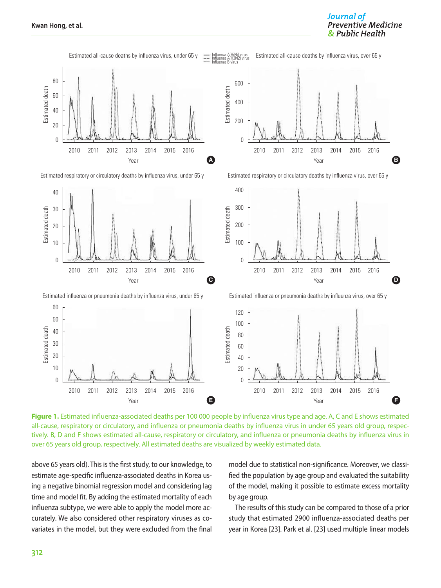

**Figure 1.** Estimated influenza-associated deaths per 100 000 people by influenza virus type and age. A, C and E shows estimated all-cause, respiratory or circulatory, and influenza or pneumonia deaths by influenza virus in under 65 years old group, respectively. B, D and F shows estimated all-cause, respiratory or circulatory, and influenza or pneumonia deaths by influenza virus in over 65 years old group, respectively. All estimated deaths are visualized by weekly estimated data.

above 65 years old). This is the first study, to our knowledge, to estimate age-specific influenza-associated deaths in Korea using a negative binomial regression model and considering lag time and model fit. By adding the estimated mortality of each influenza subtype, we were able to apply the model more accurately. We also considered other respiratory viruses as covariates in the model, but they were excluded from the final

model due to statistical non-significance. Moreover, we classified the population by age group and evaluated the suitability of the model, making it possible to estimate excess mortality by age group.

Journal of

**Preventive Medicine** 

The results of this study can be compared to those of a prior study that estimated 2900 influenza-associated deaths per year in Korea [23]. Park et al. [23] used multiple linear models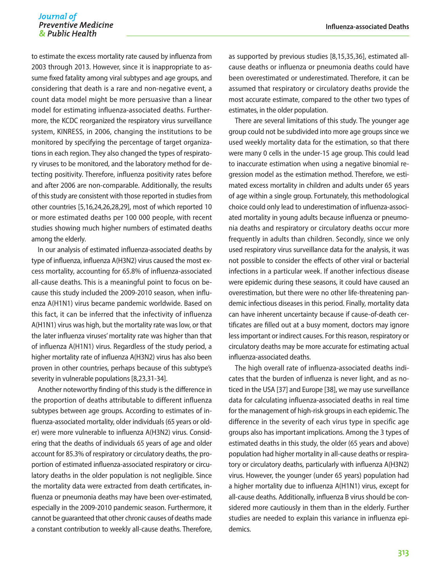to estimate the excess mortality rate caused by influenza from 2003 through 2013. However, since it is inappropriate to assume fixed fatality among viral subtypes and age groups, and considering that death is a rare and non-negative event, a count data model might be more persuasive than a linear model for estimating influenza-associated deaths. Furthermore, the KCDC reorganized the respiratory virus surveillance system, KINRESS, in 2006, changing the institutions to be monitored by specifying the percentage of target organizations in each region. They also changed the types of respiratory viruses to be monitored, and the laboratory method for detecting positivity. Therefore, influenza positivity rates before and after 2006 are non-comparable. Additionally, the results of this study are consistent with those reported in studies from other countries [5,16,24,26,28,29], most of which reported 10 or more estimated deaths per 100 000 people, with recent studies showing much higher numbers of estimated deaths among the elderly.

In our analysis of estimated influenza-associated deaths by type of influenza, influenza A(H3N2) virus caused the most excess mortality, accounting for 65.8% of influenza-associated all-cause deaths. This is a meaningful point to focus on because this study included the 2009-2010 season, when influenza A(H1N1) virus became pandemic worldwide. Based on this fact, it can be inferred that the infectivity of influenza A(H1N1) virus was high, but the mortality rate was low, or that the later influenza viruses' mortality rate was higher than that of influenza A(H1N1) virus. Regardless of the study period, a higher mortality rate of influenza A(H3N2) virus has also been proven in other countries, perhaps because of this subtype's severity in vulnerable populations [8,23,31-34].

Another noteworthy finding of this study is the difference in the proportion of deaths attributable to different influenza subtypes between age groups. According to estimates of influenza-associated mortality, older individuals (65 years or older) were more vulnerable to influenza A(H3N2) virus. Considering that the deaths of individuals 65 years of age and older account for 85.3% of respiratory or circulatory deaths, the proportion of estimated influenza-associated respiratory or circulatory deaths in the older population is not negligible. Since the mortality data were extracted from death certificates, influenza or pneumonia deaths may have been over-estimated, especially in the 2009-2010 pandemic season. Furthermore, it cannot be guaranteed that other chronic causes of deaths made a constant contribution to weekly all-cause deaths. Therefore, as supported by previous studies [8,15,35,36], estimated allcause deaths or influenza or pneumonia deaths could have been overestimated or underestimated. Therefore, it can be assumed that respiratory or circulatory deaths provide the most accurate estimate, compared to the other two types of estimates, in the older population.

There are several limitations of this study. The younger age group could not be subdivided into more age groups since we used weekly mortality data for the estimation, so that there were many 0 cells in the under-15 age group. This could lead to inaccurate estimation when using a negative binomial regression model as the estimation method. Therefore, we estimated excess mortality in children and adults under 65 years of age within a single group. Fortunately, this methodological choice could only lead to underestimation of influenza-associated mortality in young adults because influenza or pneumonia deaths and respiratory or circulatory deaths occur more frequently in adults than children. Secondly, since we only used respiratory virus surveillance data for the analysis, it was not possible to consider the effects of other viral or bacterial infections in a particular week. If another infectious disease were epidemic during these seasons, it could have caused an overestimation, but there were no other life-threatening pandemic infectious diseases in this period. Finally, mortality data can have inherent uncertainty because if cause-of-death certificates are filled out at a busy moment, doctors may ignore less important or indirect causes. For this reason, respiratory or circulatory deaths may be more accurate for estimating actual influenza-associated deaths.

The high overall rate of influenza-associated deaths indicates that the burden of influenza is never light, and as noticed in the USA [37] and Europe [38], we may use surveillance data for calculating influenza-associated deaths in real time for the management of high-risk groups in each epidemic. The difference in the severity of each virus type in specific age groups also has important implications. Among the 3 types of estimated deaths in this study, the older (65 years and above) population had higher mortality in all-cause deaths or respiratory or circulatory deaths, particularly with influenza A(H3N2) virus. However, the younger (under 65 years) population had a higher mortality due to influenza A(H1N1) virus, except for all-cause deaths. Additionally, influenza B virus should be considered more cautiously in them than in the elderly. Further studies are needed to explain this variance in influenza epidemics.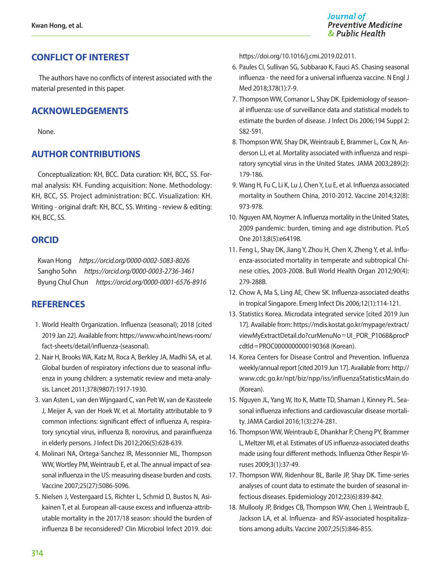## **CONFLICT OF INTEREST**

 The authors have no conflicts of interest associated with the material presented in this paper.

## **ACKNOWLEDGEMENTS**

None.

## **AUTHOR CONTRIBUTIONS**

Conceptualization: KH, BCC. Data curation: KH, BCC, SS. Formal analysis: KH. Funding acquisition: None. Methodology: KH, BCC, SS. Project administration: BCC. Visualization: KH. Writing - original draft: KH, BCC, SS. Writing - review & editing: KH, BCC, SS.

## **ORCID**

Kwan Hong *https://orcid.org/0000-0002-5083-8026* Sangho Sohn *https://orcid.org/0000-0003-2736-3461* Byung Chul Chun *https://orcid.org/0000-0001-6576-8916*

## **REFERENCES**

- 1. World Health Organization. Influenza (seasonal); 2018 [cited 2019 Jan 22]. Available from: https://www.who.int/news-room/ fact-sheets/detail/influenza-(seasonal).
- 2. Nair H, Brooks WA, Katz M, Roca A, Berkley JA, Madhi SA, et al. Global burden of respiratory infections due to seasonal influenza in young children: a systematic review and meta-analysis. Lancet 2011;378(9807):1917-1930.
- 3. van Asten L, van den Wijngaard C, van Pelt W, van de Kassteele J, Meijer A, van der Hoek W, et al. Mortality attributable to 9 common infections: significant effect of influenza A, respiratory syncytial virus, influenza B, norovirus, and parainfluenza in elderly persons. J Infect Dis 2012;206(5):628-639.
- 4. Molinari NA, Ortega-Sanchez IR, Messonnier ML, Thompson WW, Wortley PM, Weintraub E, et al. The annual impact of seasonal influenza in the US: measuring disease burden and costs. Vaccine 2007;25(27):5086-5096.
- 5. Nielsen J, Vestergaard LS, Richter L, Schmid D, Bustos N, Asikainen T, et al. European all-cause excess and influenza-attributable mortality in the 2017/18 season: should the burden of influenza B be reconsidered? Clin Microbiol Infect 2019. doi:

https://doi.org/10.1016/j.cmi.2019.02.011.

- 6. Paules CI, Sullivan SG, Subbarao K, Fauci AS. Chasing seasonal influenza - the need for a universal influenza vaccine. N Engl J Med 2018;378(1):7-9.
- 7. Thompson WW, Comanor L, Shay DK. Epidemiology of seasonal influenza: use of surveillance data and statistical models to estimate the burden of disease. J Infect Dis 2006;194 Suppl 2: S82-S91.
- 8. Thompson WW, Shay DK, Weintraub E, Brammer L, Cox N, Anderson LJ, et al. Mortality associated with influenza and respiratory syncytial virus in the United States. JAMA 2003;289(2): 179-186.
- 9. Wang H, Fu C, Li K, Lu J, Chen Y, Lu E, et al. Influenza associated mortality in Southern China, 2010-2012. Vaccine 2014;32(8): 973-978.
- 10. Nguyen AM, Noymer A. Influenza mortality in the United States, 2009 pandemic: burden, timing and age distribution. PLoS One 2013;8(5):e64198.
- 11. Feng L, Shay DK, Jiang Y, Zhou H, Chen X, Zheng Y, et al. Influenza-associated mortality in temperate and subtropical Chinese cities, 2003-2008. Bull World Health Organ 2012;90(4): 279-288B.
- 12. Chow A, Ma S, Ling AE, Chew SK. Influenza-associated deaths in tropical Singapore. Emerg Infect Dis 2006;12(1):114-121.
- 13. Statistics Korea. Microdata integrated service [cited 2019 Jun 17]. Available from: [https://mdis.kostat.go.kr/mypage/extract/](https://mdis.kostat.go.kr/mypage/extract/viewMyExtractDetail.do%3FcurMenuNo%3DUI_POR_P1068%26procPcdtId%3DPROC0000000000190368)  [viewMyExtractDetail.do?curMenuNo](https://mdis.kostat.go.kr/mypage/extract/viewMyExtractDetail.do%3FcurMenuNo%3DUI_POR_P1068%26procPcdtId%3DPROC0000000000190368)=UI\_POR\_P1068&procP cdtId=[PROC0000000000190368](https://mdis.kostat.go.kr/mypage/extract/viewMyExtractDetail.do%3FcurMenuNo%3DUI_POR_P1068%26procPcdtId%3DPROC0000000000190368) (Korean).
- 14. Korea Centers for Disease Control and Prevention. Influenza weekly/annual report [cited 2019 Jun 17]. Available from: http:// www.cdc.go.kr/npt/biz/npp/iss/influenzaStatisticsMain.do (Korean).
- 15. Nguyen JL, Yang W, Ito K, Matte TD, Shaman J, Kinney PL. Seasonal influenza infections and cardiovascular disease mortality. JAMA Cardiol 2016;1(3):274-281.
- 16. Thompson WW, Weintraub E, Dhankhar P, Cheng PY, Brammer L, Meltzer MI, et al. Estimates of US influenza-associated deaths made using four different methods. Influenza Other Respir Viruses 2009;3(1):37-49.
- 17. Thompson WW, Ridenhour BL, Barile JP, Shay DK. Time-series analyses of count data to estimate the burden of seasonal infectious diseases. Epidemiology 2012;23(6):839-842.
- 18. Mullooly JP, Bridges CB, Thompson WW, Chen J, Weintraub E, Jackson LA, et al. Influenza- and RSV-associated hospitalizations among adults. Vaccine 2007;25(5):846-855.